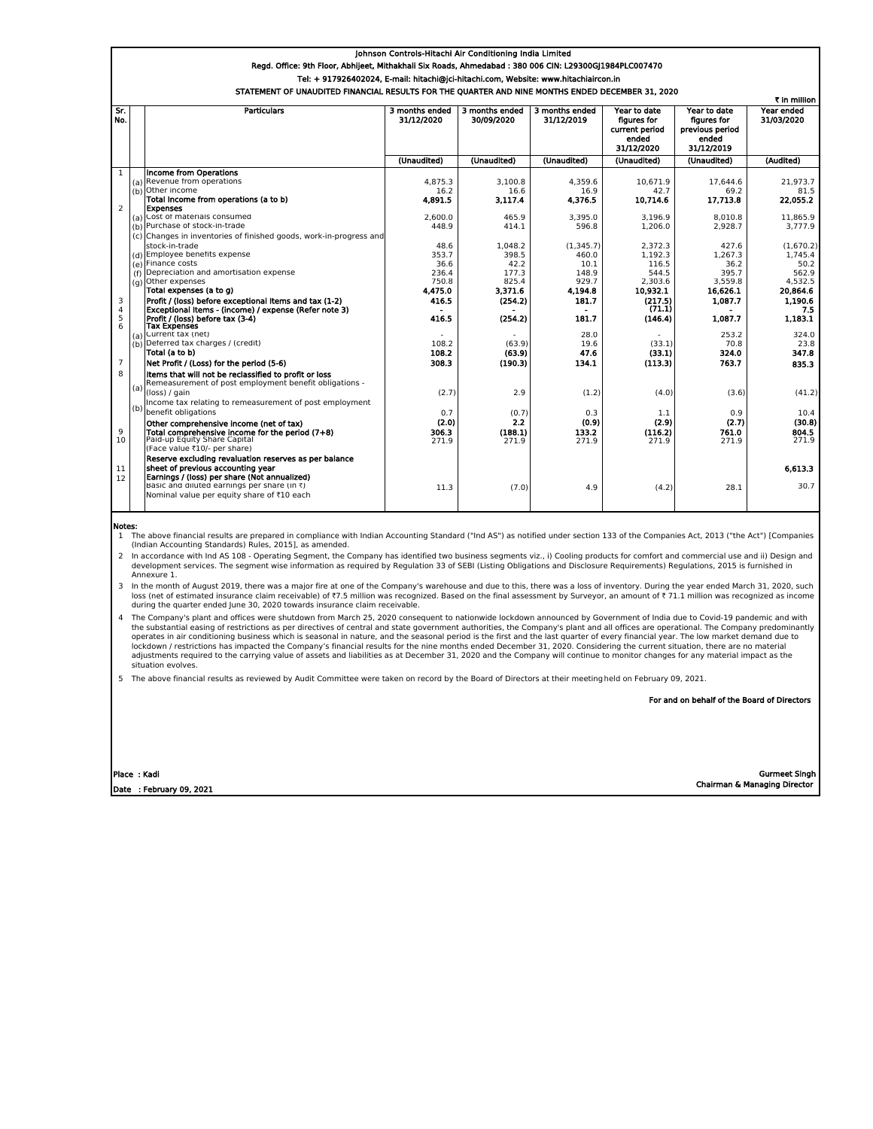## Johnson Controls-Hitachi Air Conditioning India Limited Regd. Office: 9th Floor, Abhijeet, Mithakhali Six Roads, Ahmedabad : 380 006 CIN: L29300GJ1984PLC007470 Tel: + 917926402024, E-mail: hitachi@jci-hitachi.com, Website: www.hitachiaircon.in OF UNAUDITED FINANCIAL RESULTS FOR THE QUARTER AND NINE MONTHS ENDED DECEM

|                | ₹ in million |                                                                    |                              |                              |                              |                                                                      |                                                                       |                          |
|----------------|--------------|--------------------------------------------------------------------|------------------------------|------------------------------|------------------------------|----------------------------------------------------------------------|-----------------------------------------------------------------------|--------------------------|
| Sr.<br>No.     |              | <b>Particulars</b>                                                 | 3 months ended<br>31/12/2020 | 3 months ended<br>30/09/2020 | 3 months ended<br>31/12/2019 | Year to date<br>figures for<br>current period<br>ended<br>31/12/2020 | Year to date<br>figures for<br>previous period<br>ended<br>31/12/2019 | Year ended<br>31/03/2020 |
|                |              |                                                                    | (Unaudited)                  | (Unaudited)                  | (Unaudited)                  | (Unaudited)                                                          | (Unaudited)                                                           | (Audited)                |
| $\mathbf{1}$   |              | Income from Operations                                             |                              |                              |                              |                                                                      |                                                                       |                          |
|                |              | (a) Revenue from operations                                        | 4.875.3                      | 3.100.8                      | 4.359.6                      | 10.671.9                                                             | 17.644.6                                                              | 21.973.7                 |
|                |              | (b) Other income                                                   | 16.2                         | 16.6                         | 16.9                         | 42.7                                                                 | 69.2                                                                  | 81.5                     |
|                |              | Total Income from operations (a to b)                              | 4.891.5                      | 3.117.4                      | 4.376.5                      | 10.714.6                                                             | 17,713.8                                                              | 22.055.2                 |
| $\overline{2}$ |              | <b>Expenses</b>                                                    |                              |                              |                              |                                                                      |                                                                       |                          |
|                |              | (a) Cost of materials consumed                                     | 2.600.0                      | 465.9                        | 3.395.0                      | 3.196.9                                                              | 8.010.8                                                               | 11.865.9                 |
|                |              | (b) Purchase of stock-in-trade                                     | 448.9                        | 414.1                        | 596.8                        | 1.206.0                                                              | 2.928.7                                                               | 3.777.9                  |
|                |              | (c) Changes in inventories of finished goods, work-in-progress and |                              |                              |                              |                                                                      |                                                                       |                          |
|                |              | stock-in-trade                                                     | 48.6                         | 1.048.2                      | (1.345.7)                    | 2.372.3                                                              | 427.6                                                                 | (1.670.2)                |
|                |              | (d) Employee benefits expense                                      | 353.7                        | 398.5                        | 460.0                        | 1.192.3                                                              | 1.267.3                                                               | 1.745.4                  |
|                |              | (e) Finance costs                                                  | 36.6                         | 42.2                         | 10.1                         | 116.5                                                                | 36.2                                                                  | 50.2                     |
|                | (f)          | Depreciation and amortisation expense                              | 236.4                        | 177.3                        | 148.9                        | 544.5                                                                | 395.7                                                                 | 562.9                    |
|                |              | (g) Other expenses                                                 | 750.8                        | 825.4                        | 929.7                        | 2.303.6                                                              | 3.559.8                                                               | 4.532.5                  |
|                |              | Total expenses (a to g)                                            | 4,475.0                      | 3,371.6                      | 4.194.8                      | 10,932.1                                                             | 16,626.1                                                              | 20,864.6                 |
| 3              |              | Profit / (loss) before exceptional Items and tax (1-2)             | 416.5                        | (254.2)                      | 181.7                        | (217.5)                                                              | 1,087.7                                                               | 1.190.6                  |
| $\overline{4}$ |              | Exceptional Items - (income) / expense (Refer note 3)              |                              |                              |                              | (71.1)                                                               |                                                                       | 7.5                      |
| $\frac{5}{6}$  |              | Profit / (loss) before tax (3-4)<br><b>Tax Expenses</b>            | 416.5                        | (254.2)                      | 181.7                        | (146.4)                                                              | 1.087.7                                                               | 1.183.1                  |
|                | (a)          | Current tax (net)                                                  |                              |                              | 28.0                         |                                                                      | 253.2                                                                 | 324.0                    |
|                | (b)          | Deferred tax charges / (credit)                                    | 108.2                        | (63.9)                       | 19.6                         | (33.1)                                                               | 70.8                                                                  | 23.8                     |
|                |              | Total (a to b)                                                     | 108.2                        | (63.9)                       | 47.6                         | (33.1)                                                               | 324.0                                                                 | 347.8                    |
| $\overline{7}$ |              | Net Profit / (Loss) for the period (5-6)                           | 308.3                        | (190.3)                      | 134.1                        | (113.3)                                                              | 763.7                                                                 | 835.3                    |
| 8              |              | Items that will not be reclassified to profit or loss              |                              |                              |                              |                                                                      |                                                                       |                          |
|                | (a)          | Remeasurement of post employment benefit obligations -             |                              |                              |                              |                                                                      |                                                                       |                          |
|                |              | (loss) / gain                                                      | (2.7)                        | 2.9                          | (1.2)                        | (4.0)                                                                | (3.6)                                                                 | (41.2)                   |
|                |              | Income tax relating to remeasurement of post employment            |                              |                              |                              |                                                                      |                                                                       |                          |
|                | (b)          | benefit obligations                                                | 0.7                          | (0.7)                        | 0.3                          | 1.1                                                                  | 0.9                                                                   | 10.4                     |
|                |              | Other comprehensive income (net of tax)                            | (2.0)                        | 2.2                          | (0.9)                        | (2.9)                                                                | (2.7)                                                                 | (30.8)                   |
| 9              |              | Total comprehensive income for the period (7+8)                    | 306.3                        | (188.1)                      | 133.2                        | (116.2)                                                              | 761.0                                                                 | 804.5                    |
| 10             |              | Paid-up Equity Share Capital                                       | 271.9                        | 271.9                        | 271.9                        | 271.9                                                                | 271.9                                                                 | 271.9                    |
|                |              | (Face value ₹10/- per share)                                       |                              |                              |                              |                                                                      |                                                                       |                          |
|                |              | Reserve excluding revaluation reserves as per balance              |                              |                              |                              |                                                                      |                                                                       |                          |
| 11             |              | sheet of previous accounting year                                  |                              |                              |                              |                                                                      |                                                                       | 6.613.3                  |
| 12             |              | Earnings / (loss) per share (Not annualized)                       |                              |                              |                              |                                                                      |                                                                       |                          |
|                |              | Basic and diluted earnings per share (in $\bar{\tau}$ )            | 11.3                         | (7.0)                        | 4.9                          | (4.2)                                                                | 28.1                                                                  | 30.7                     |
|                |              | Nominal value per equity share of ₹10 each                         |                              |                              |                              |                                                                      |                                                                       |                          |
|                |              |                                                                    |                              |                              |                              |                                                                      |                                                                       |                          |

Notes:

1 The above financial results are prepared in compliance with Indian Accounting Standard ("Ind AS") as notified under section 133 of the Companies Act, 2013 ("the Act") [Companies (Indian Accounting Standards) Rules, 2015], as amended.

2 In accordance with Ind AS 108 - Operating Segment, the Company has identified two business segments viz., i) Cooling products for comfort and commercial use and ii) Design and development services. The segment wise information as required by Regulation 33 of SEBI (Listing Obligations and Disclosure Requirements) Regulations, 2015 is furnished in Annexure 1.

3 In the month of August 2019, there was a major fire at one of the Company's warehouse and due to this, there was a loss of inventory. During the year ended March 31, 2020, such loss (net of estimated insurance claim receivable) of ₹7.5 million was recognized. Based on the final assessment by Surveyor, an amount of ₹ 71.1 million was recognized as income<br>during the quarter ended June 30, 2020 tow

4 The Company's plant and offices were shutdown from March 25, 2020 consequent to nationwide lockdown announced by Government of India due to Covid-19 pandemic and with the substantial easing of restrictions as per directives of central and state government authorities, the Company's plant and all offices are operational. The Company predominantly<br>operates in air conditioning business whi lockdown / restrictions has impacted the Company's financial results for the nine months ended December 31, 2020. Considering the current situation, there are no material<br>adjustments required to the carrying value of asset situation evolves.

5 The above financial results as reviewed by Audit Committee were taken on record by the Board of Directors at their meeting held on February 09, 2021.

For and on behalf of the Board of Directors

| Place : Kadi             | <b>Gurmeet Singh</b>         |
|--------------------------|------------------------------|
| Date : February 09, 2021 | Chairman & Managing Director |